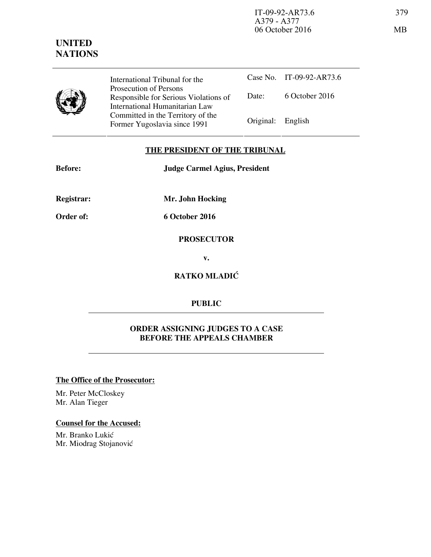International Tribunal for the Prosecution of Persons Responsible for Serious Violations of International Humanitarian Law Committed in the Territory of the Former Yugoslavia since 1991 Original: English

Case No. IT-09-92-AR73.6 Date: 6 October 2016

## **THE PRESIDENT OF THE TRIBUNAL**

**Before: Judge Carmel Agius, President** 

**Registrar: Mr. John Hocking** 

**Order of: 6 October 2016** 

**PROSECUTOR** 

**v.** 

**RATKO MLADIĆ** 

## **PUBLIC**

## **ORDER ASSIGNING JUDGES TO A CASE BEFORE THE APPEALS CHAMBER**

**The Office of the Prosecutor:**

Mr. Peter McCloskey Mr. Alan Tieger

## **Counsel for the Accused:**

Mr. Branko Lukić Mr. Miodrag Stojanović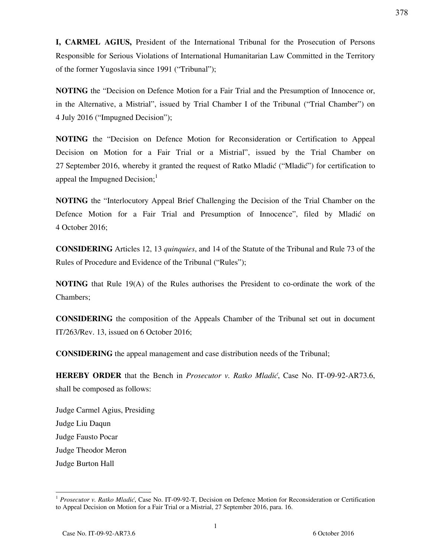**I, CARMEL AGIUS,** President of the International Tribunal for the Prosecution of Persons Responsible for Serious Violations of International Humanitarian Law Committed in the Territory of the former Yugoslavia since 1991 ("Tribunal");

**NOTING** the "Decision on Defence Motion for a Fair Trial and the Presumption of Innocence or, in the Alternative, a Mistrial", issued by Trial Chamber I of the Tribunal ("Trial Chamber") on 4 July 2016 ("Impugned Decision");

**NOTING** the "Decision on Defence Motion for Reconsideration or Certification to Appeal Decision on Motion for a Fair Trial or a Mistrial", issued by the Trial Chamber on 27 September 2016, whereby it granted the request of Ratko Mladić ("Mladić") for certification to appeal the Impugned Decision; $<sup>1</sup>$ </sup>

**NOTING** the "Interlocutory Appeal Brief Challenging the Decision of the Trial Chamber on the Defence Motion for a Fair Trial and Presumption of Innocence", filed by Mladić on 4 October 2016;

**CONSIDERING** Articles 12, 13 *quinquies*, and 14 of the Statute of the Tribunal and Rule 73 of the Rules of Procedure and Evidence of the Tribunal ("Rules");

**NOTING** that Rule 19(A) of the Rules authorises the President to co-ordinate the work of the Chambers;

**CONSIDERING** the composition of the Appeals Chamber of the Tribunal set out in document IT/263/Rev. 13, issued on 6 October 2016;

**CONSIDERING** the appeal management and case distribution needs of the Tribunal;

**HEREBY ORDER** that the Bench in *Prosecutor v. Ratko Mladić*, Case No. IT-09-92-AR73.6, shall be composed as follows:

Judge Carmel Agius, Presiding Judge Liu Daqun Judge Fausto Pocar Judge Theodor Meron Judge Burton Hall

<sup>&</sup>lt;sup>1</sup> Prosecutor v. Ratko Mladić, Case No. IT-09-92-T, Decision on Defence Motion for Reconsideration or Certification to Appeal Decision on Motion for a Fair Trial or a Mistrial, 27 September 2016, para. 16.